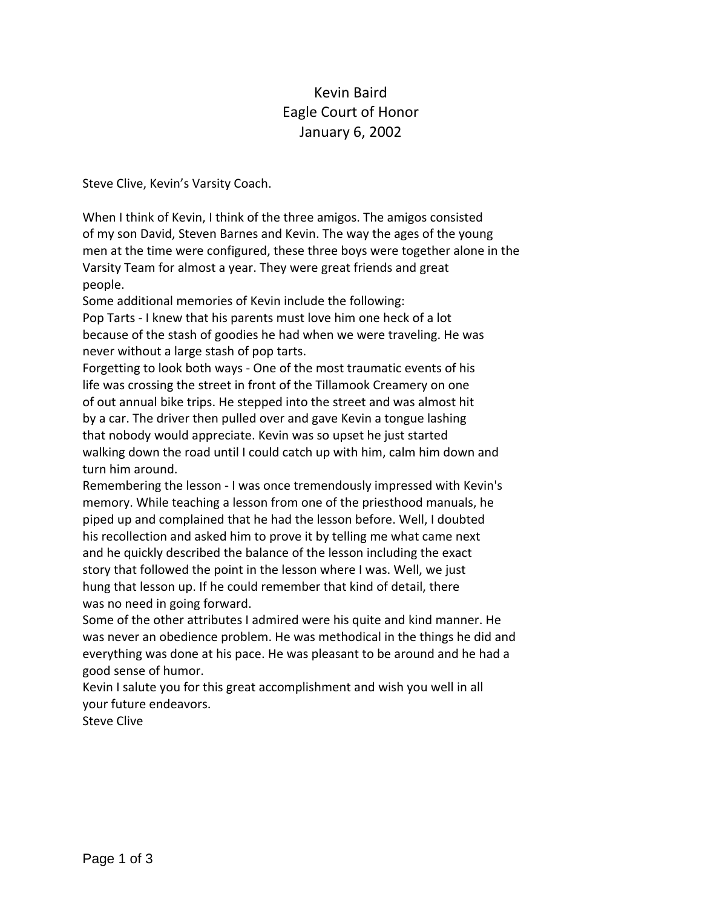## Kevin Baird Eagle Court of Honor January 6, 2002

Steve Clive, Kevin's Varsity Coach.

When I think of Kevin, I think of the three amigos. The amigos consisted of my son David, Steven Barnes and Kevin. The way the ages of the young men at the time were configured, these three boys were together alone in the Varsity Team for almost a year. They were great friends and great people.

Some additional memories of Kevin include the following:

Pop Tarts ‐ I knew that his parents must love him one heck of a lot because of the stash of goodies he had when we were traveling. He was never without a large stash of pop tarts.

Forgetting to look both ways ‐ One of the most traumatic events of his life was crossing the street in front of the Tillamook Creamery on one of out annual bike trips. He stepped into the street and was almost hit by a car. The driver then pulled over and gave Kevin a tongue lashing that nobody would appreciate. Kevin was so upset he just started walking down the road until I could catch up with him, calm him down and turn him around.

Remembering the lesson ‐ I was once tremendously impressed with Kevin's memory. While teaching a lesson from one of the priesthood manuals, he piped up and complained that he had the lesson before. Well, I doubted his recollection and asked him to prove it by telling me what came next and he quickly described the balance of the lesson including the exact story that followed the point in the lesson where I was. Well, we just hung that lesson up. If he could remember that kind of detail, there was no need in going forward.

Some of the other attributes I admired were his quite and kind manner. He was never an obedience problem. He was methodical in the things he did and everything was done at his pace. He was pleasant to be around and he had a good sense of humor.

Kevin I salute you for this great accomplishment and wish you well in all your future endeavors.

Steve Clive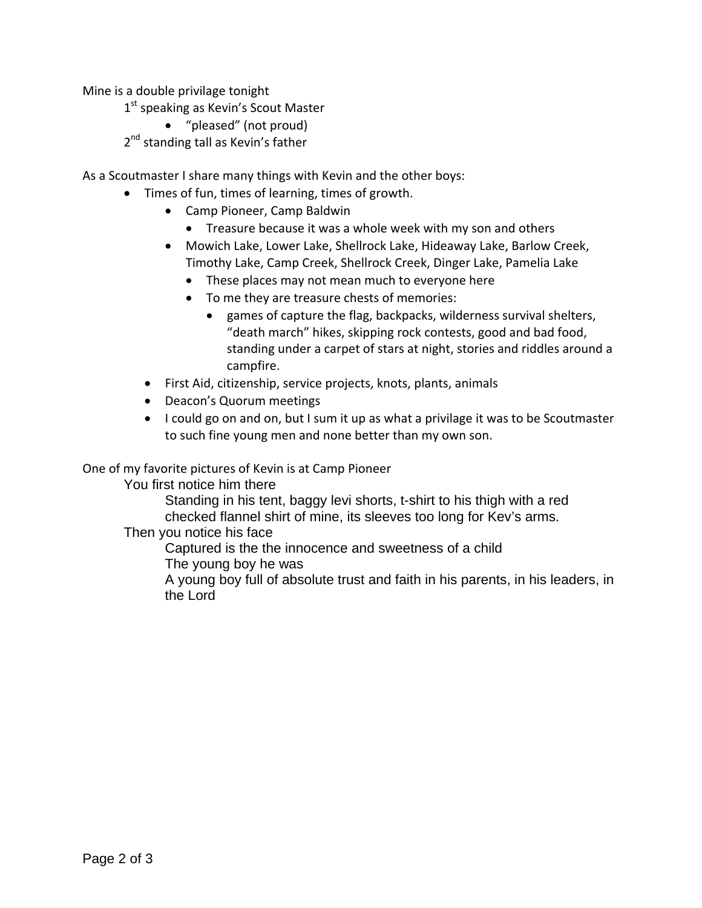Mine is a double privilage tonight

1<sup>st</sup> speaking as Kevin's Scout Master

"pleased" (not proud)

2<sup>nd</sup> standing tall as Kevin's father

As a Scoutmaster I share many things with Kevin and the other boys:

- Times of fun, times of learning, times of growth.
	- Camp Pioneer, Camp Baldwin
		- Treasure because it was a whole week with my son and others
	- Mowich Lake, Lower Lake, Shellrock Lake, Hideaway Lake, Barlow Creek, Timothy Lake, Camp Creek, Shellrock Creek, Dinger Lake, Pamelia Lake
		- These places may not mean much to everyone here
		- To me they are treasure chests of memories:
			- games of capture the flag, backpacks, wilderness survival shelters, "death march" hikes, skipping rock contests, good and bad food, standing under a carpet of stars at night, stories and riddles around a campfire.
	- First Aid, citizenship, service projects, knots, plants, animals
	- Deacon's Quorum meetings
	- I could go on and on, but I sum it up as what a privilage it was to be Scoutmaster to such fine young men and none better than my own son.

One of my favorite pictures of Kevin is at Camp Pioneer

You first notice him there

Standing in his tent, baggy levi shorts, t-shirt to his thigh with a red checked flannel shirt of mine, its sleeves too long for Kev's arms.

Then you notice his face

Captured is the the innocence and sweetness of a child The young boy he was

A young boy full of absolute trust and faith in his parents, in his leaders, in the Lord